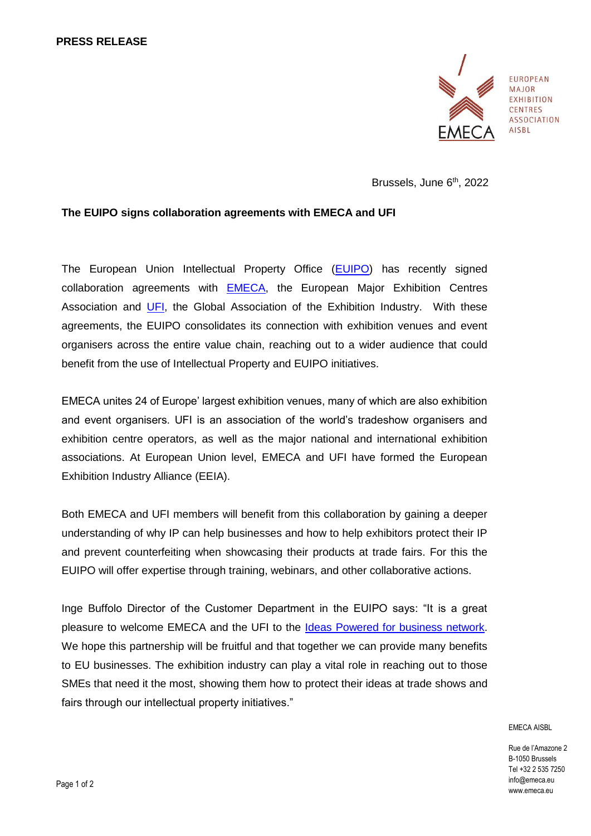

**EUROPEAN MAJOR EXHIBITION CENTRES ASSOCIATION AISBI** 

Brussels, June 6<sup>th</sup>, 2022

# **The EUIPO signs collaboration agreements with EMECA and UFI**

The European Union Intellectual Property Office [\(EUIPO\)](https://euipo.europa.eu/ohimportal/en) has recently signed collaboration agreements with [EMECA,](https://emeca.eu/) the European Major Exhibition Centres Association and [UFI,](https://www.ufi.org/) the Global Association of the Exhibition Industry. With these agreements, the EUIPO consolidates its connection with exhibition venues and event organisers across the entire value chain, reaching out to a wider audience that could benefit from the use of Intellectual Property and EUIPO initiatives.

EMECA unites 24 of Europe' largest exhibition venues, many of which are also exhibition and event organisers. UFI is an association of the world's tradeshow organisers and exhibition centre operators, as well as the major national and international exhibition associations. At European Union level, EMECA and UFI have formed the European Exhibition Industry Alliance (EEIA).

Both EMECA and UFI members will benefit from this collaboration by gaining a deeper understanding of why IP can help businesses and how to help exhibitors protect their IP and prevent counterfeiting when showcasing their products at trade fairs. For this the EUIPO will offer expertise through training, webinars, and other collaborative actions.

Inge Buffolo Director of the Customer Department in the EUIPO says: "It is a great pleasure to welcome EMECA and the UFI to the [Ideas Powered for business network.](https://euipo.europa.eu/ohimportal/en/online-services/ideas-powered-for-business) We hope this partnership will be fruitful and that together we can provide many benefits to EU businesses. The exhibition industry can play a vital role in reaching out to those SMEs that need it the most, showing them how to protect their ideas at trade shows and fairs through our intellectual property initiatives."

#### EMECA AISBL

Rue de l'Amazone 2 B-1050 Brussels Tel +32 2 535 7250 info@emeca.eu www.emeca.eu